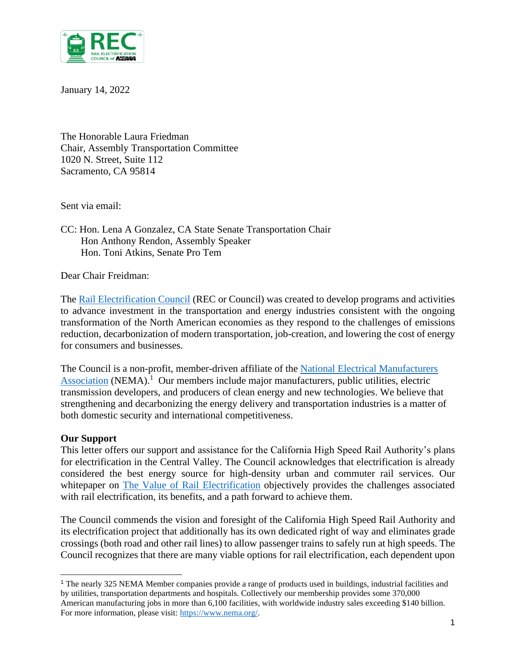

January 14, 2022

The Honorable Laura Friedman Chair, Assembly Transportation Committee 1020 N. Street, Suite 112 Sacramento, CA 95814

Sent via email:

## CC: Hon. Lena A Gonzalez, CA State Senate Transportation Chair Hon Anthony Rendon, Assembly Speaker Hon. Toni Atkins, Senate Pro Tem

Dear Chair Freidman:

The [Rail Electrification Council](https://www.nema.org/directory/nema-councils/rail-electrification-council) (REC or Council) was created to develop programs and activities to advance investment in the transportation and energy industries consistent with the ongoing transformation of the North American economies as they respond to the challenges of emissions reduction, decarbonization of modern transportation, job-creation, and lowering the cost of energy for consumers and businesses.

The Council is a non-profit, member-driven affiliate of the [National Electrical Manufacturers](https://www.nema.org/)  [Association](https://www.nema.org/) (NEMA).<sup>1</sup> Our members include major manufacturers, public utilities, electric transmission developers, and producers of clean energy and new technologies. We believe that strengthening and decarbonizing the energy delivery and transportation industries is a matter of both domestic security and international competitiveness.

## **Our Support**

This letter offers our support and assistance for the California High Speed Rail Authority's plans for electrification in the Central Valley. The Council acknowledges that electrification is already considered the best energy source for high-density urban and commuter rail services. Our whitepaper on The Value of Rail [Electrification](https://www.nema.org/standards/view/the-value-of-rail-electrification) objectively provides the challenges associated with rail electrification, its benefits, and a path forward to achieve them.

The Council commends the vision and foresight of the California High Speed Rail Authority and its electrification project that additionally has its own dedicated right of way and eliminates grade crossings (both road and other rail lines) to allow passenger trains to safely run at high speeds. The Council recognizes that there are many viable options for rail electrification, each dependent upon

<sup>1</sup> The nearly 325 NEMA Member companies provide a range of products used in buildings, industrial facilities and by utilities, transportation departments and hospitals. Collectively our membership provides some 370,000 American manufacturing jobs in more than 6,100 facilities, with worldwide industry sales exceeding \$140 billion. For more information, please visit: [https://www.nema.org/.](https://www.nema.org/)